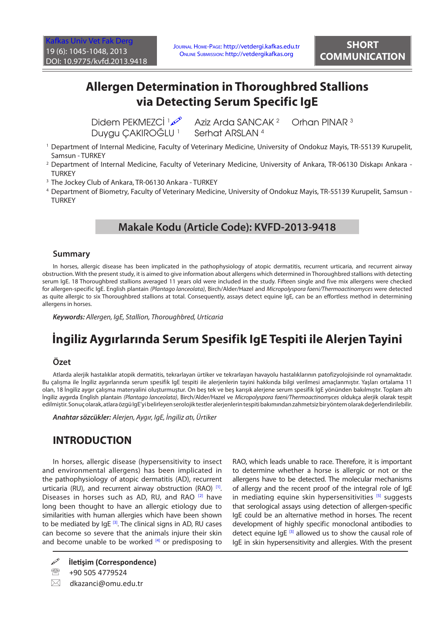# **Allergen Determination in Thoroughbred Stallions via Detecting Serum Specific IgE**

Didem PEKMEZCİ 160 Duygu CAKIROĞLU<sup>1</sup>

 Aziz Arda SANCAK 2 Orhan PINAR 3 Serhat ARSLAN <sup>4</sup>

- 1 Department of Internal Medicine, Faculty of Veterinary Medicine, University of Ondokuz Mayis, TR-55139 Kurupelit, Samsun - TURKEY
- 2 Department of Internal Medicine, Faculty of Veterinary Medicine, University of Ankara, TR-06130 Diskapı Ankara **TURKEY**
- 3 The Jockey Club of Ankara, TR-06130 Ankara TURKEY
- 4 Department of Biometry, Faculty of Veterinary Medicine, University of Ondokuz Mayis, TR-55139 Kurupelit, Samsun **TURKEY**

### **Makale Kodu (Article Code): KVFD-2013-9418**

#### **Summary**

In horses, allergic disease has been implicated in the pathophysiology of atopic dermatitis, recurrent urticaria, and recurrent airway obstruction. With the present study, it is aimed to give information about allergens which determined in Thoroughbred stallions with detecting serum IgE. 18 Thoroughbred stallions averaged 11 years old were included in the study. Fifteen single and five mix allergens were checked for allergen-specific IgE. English plantain *(Plantago lanceolata)*, Birch/Alder/Hazel and *Micropolyspora faeni/Thermoactinomyces* were detected as quite allergic to six Thoroughbred stallions at total. Consequently, assays detect equine IgE, can be an effortless method in determining allergens in horses.

*Keywords: Allergen, IgE, Stallion, Thoroughbred, Urticaria*

# **İngiliz Aygırlarında Serum Spesifik IgE Tespiti ile Alerjen Tayini**

#### **Özet**

Atlarda alerjik hastalıklar atopik dermatitis, tekrarlayan ürtiker ve tekrarlayan havayolu hastalıklarının patofizyolojisinde rol oynamaktadır. Bu çalışma ile İngiliz aygırlarında serum spesifik IgE tespiti ile alerjenlerin tayini hakkında bilgi verilmesi amaçlanmıştır. Yaşları ortalama 11 olan, 18 İngiliz aygır çalışma materyalini oluşturmuştur. On beş tek ve beş karışık alerjene serum spesifik IgE yönünden bakılmıştır. Toplam altı İngiliz aygırda English plantain *(Plantago lanceolata)*, Birch/Alder/Hazel ve *Micropolyspora faeni/Thermoactinomyces* oldukça alerjik olarak tespit edilmiştir. Sonuç olarak, atlara özgü IgE'yi belirleyen serolojik testler alerjenlerin tespiti bakımından zahmetsiz bir yöntem olarak değerlendirilebilir.

*Anahtar sözcükler: Alerjen, Aygır, IgE, İngiliz atı, Ürtiker*

### **INTRODUCTION**

In horses, allergic disease (hypersensitivity to insect and environmental allergens) has been implicated in the pathophysiology of atopic dermatitis (AD), recurrent urticaria (RU), and recurrent airway obstruction (RAO) <sup>[1]</sup>. Diseases in horses such as AD, RU, and RAO  $[2]$  $[2]$  have long been thought to have an allergic etiology due to similarities with human allergies which have been shown to be mediated by  $IgE$   $[3]$ . The clinical signs in AD, RU cases can become so severe that the animals injure their skin and become unable to be worked  $[4]$  or predisposing to

<sup>2</sup> +90 505 4779524

 $\boxtimes$  dkazanci@omu.edu.tr

RAO, which leads unable to race. Therefore, it is important to determine whether a horse is allergic or not or the allergens have to be detected. The molecular mechanisms of allergy and the recent proof of the integral role of IgE in mediating equine skin hypersensitivities <sup>[\[5\]](#page-3-0)</sup> suggests that serological assays using detection of allergen-specific IgE could be an alternative method in horses. The recent development of highly specific monoclonal antibodies to detect equine  $IqE$ <sup>[[3\]](#page-3-0)</sup> allowed us to show the causal role of IgE in skin hypersensitivity and allergies. With the present

**İletişim (Correspondence)**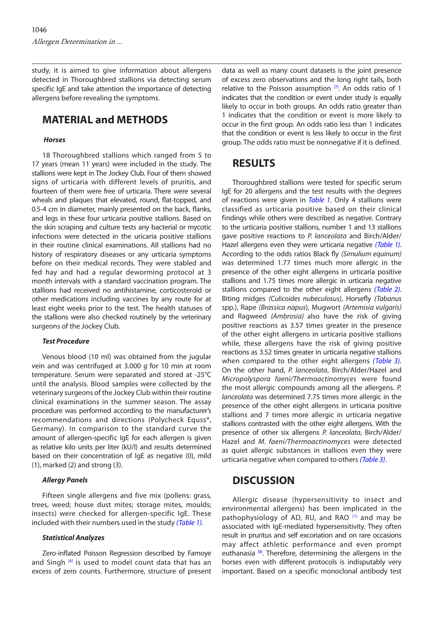<span id="page-1-0"></span>study, it is aimed to give information about allergens detected in Thoroughbred stallions via detecting serum specific IgE and take attention the importance of detecting allergens before revealing the symptoms.

## **MATERIAL and METHODS**

#### *Horses*

18 Thoroughbred stallions which ranged from 5 to 17 years (mean 11 years) were included in the study. The stallions were kept in The Jockey Club. Four of them showed signs of urticaria with different levels of pruritis, and fourteen of them were free of urticaria. There were several wheals and plaques that elevated, round, flat-topped, and 0.5-4 cm in diameter, mainly presented on the back, flanks, and legs in these four urticaria positive stallions. Based on the skin scraping and culture tests any bacterial or mycotic infections were detected in the uricaria positive stallions in their routine clinical examinations. All stallions had no history of respiratory diseases or any urticaria symptoms before on their medical records. They were stabled and fed hay and had a regular deworming protocol at 3 month intervals with a standard vaccination program. The stallions had received no antihistamine, corticosteroid or other medications including vaccines by any route for at least eight weeks prior to the test. The health statuses of the stallions were also checked routinely by the veterinary surgeons of the Jockey Club.

#### *Test Procedure*

Venous blood (10 ml) was obtained from the jugular vein and was centrifuged at 3.000 *g* for 10 min at room temperature. Serum were separated and stored at -25°C until the analysis. Blood samples were collected by the veterinary surgeons of the Jockey Club within their routine clinical examinations in the summer season. The assay procedure was performed according to the manufacturer's recommendations and directions (Polycheck Equss®, Germany). In comparison to the standard curve the amount of allergen-specific IgE for each allergen is given as relative kilo units per liter (kU/l) and results determined based on their concentration of IgE as negative (0), mild (1), marked (2) and strong (3).

#### *Allergy Panels*

Fifteen single allergens and five mix (pollens: grass, trees, weed; house dust mites; storage mites, moulds; insects) were checked for allergen-specific IgE. These included with their numbers used in the study *([Table 1\)](#page-2-0)*.

#### *Statistical Analyzes*

Zero-inflated Poisson Regression described by Famoye and Singh [\[6\]](#page-3-0) is used to model count data that has an excess of zero counts. Furthermore, structure of present data as well as many count datasets is the joint presence of excess zero observations and the long right tails, both relative to the Poisson assumption  $[7]$ . An odds ratio of 1 indicates that the condition or event under study is equally likely to occur in both groups. An odds ratio greater than 1 indicates that the condition or event is more likely to occur in the first group. An odds ratio less than 1 indicates that the condition or event is less likely to occur in the first group. The odds ratio must be nonnegative if it is defined.

### **RESULTS**

Thoroughbred stallions were tested for specific serum IgE for 20 allergens and the test results with the degrees of reactions were given in *[Table 1](#page-2-0)*. Only 4 stallions were classified as urticaria positive based on their clinical findings while others were described as negative. Contrary to the urticaria positive stallions, number 1 and 13 stallions gave positive reactions to *P. lanceolata* and Birch/Alder/ Hazel allergens even they were urticaria negative *([Table 1\)](#page-2-0)*. According to the odds ratios Black fly *(Simulium equinum)* was determined 1.77 times much more allergic in the presence of the other eight allergens in urticaria positive stallions and 1.75 times more allergic in urticaria negative stallions compared to the other eight allergens *([Table 2\)](#page-2-0)*. Biting midges *(Culicoides nubeculosus)*, Horsefly *(Tabanus* spp.), Rape *(Brassica napus*), Mugwort *(Artemisia vulgaris)* and Ragweed *(Ambrosia)* also have the risk of giving positive reactions as 3.57 times greater in the presence of the other eight allergens in urticaria positive stallions while, these allergens have the risk of giving positive reactions as 3.52 times greater in urticaria negative stallions when compared to the other eight allergens *([Table 3\).](#page-2-0)* On the other hand, *P. lanceolata*, Birch/Alder/Hazel and *Micropolyspora faeni/Thermoactinomyces* were found the most allergic compounds among all the allergens. *P. lanceolata* was determined 7.75 times more allergic in the presence of the other eight allergens in urticaria positive stallions and 7 times more allergic in urticaria negative stallions contrasted with the other eight allergens. With the presence of other six allergens *P. lanceolata*, Birch/Alder/ Hazel and *M. faeni/Thermoactinomyces* were detected as quiet allergic substances in stallions even they were urticaria negative when compared to others *([Table 3\)](#page-2-0)*.

### **DISCUSSION**

Allergic disease (hypersensitivity to insect and environmental allergens) has been implicated in the pathophysiology of AD, RU, and RAO [[1\]](#page-3-0) and may be associated with IgE-mediated hypersensitivity. They often result in pruritus and self excoriation and on rare occasions may affect athletic performance and even prompt euthanasia<sup>[8]</sup>. Therefore, determining the allergens in the horses even with different protocols is indisputably very important. Based on a specific monoclonal antibody test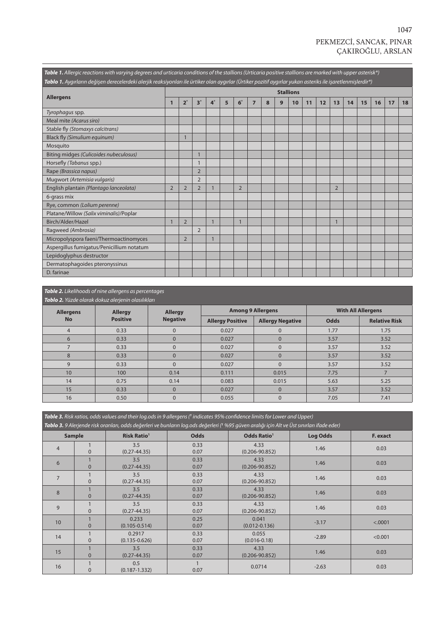## PEKMEZCİ, SANCAK, PINAR ÇAKIROĞLU, ARSLAN

<span id="page-2-0"></span>

| Table 1. Allergic reactions with varying degrees and urticaria conditions of the stallions (Urticaria positive stallions are marked with upper asterisk*)<br>Tablo 1. Aygırların değişen derecelerdeki alerjik reaksiyonları ile ürtiker olan aygırlar (Ürtiker pozitif aygırlar yukarı asteriks ile işaretlenmişlerdir*) |                  |                |                |                |   |                |                |   |   |    |    |    |                |    |    |    |    |    |
|---------------------------------------------------------------------------------------------------------------------------------------------------------------------------------------------------------------------------------------------------------------------------------------------------------------------------|------------------|----------------|----------------|----------------|---|----------------|----------------|---|---|----|----|----|----------------|----|----|----|----|----|
|                                                                                                                                                                                                                                                                                                                           | <b>Stallions</b> |                |                |                |   |                |                |   |   |    |    |    |                |    |    |    |    |    |
| <b>Allergens</b>                                                                                                                                                                                                                                                                                                          | $\mathbf{1}$     | $2^*$          | $3^*$          | $4^*$          | 5 | $6*$           | $\overline{7}$ | 8 | 9 | 10 | 11 | 12 | 13             | 14 | 15 | 16 | 17 | 18 |
| Tyrophagus spp.                                                                                                                                                                                                                                                                                                           |                  |                |                |                |   |                |                |   |   |    |    |    |                |    |    |    |    |    |
| Meal mite (Acarus siro)                                                                                                                                                                                                                                                                                                   |                  |                |                |                |   |                |                |   |   |    |    |    |                |    |    |    |    |    |
| Stable fly (Stomaxys calcitrans)                                                                                                                                                                                                                                                                                          |                  |                |                |                |   |                |                |   |   |    |    |    |                |    |    |    |    |    |
| Black fly (Simulium equinum)                                                                                                                                                                                                                                                                                              |                  |                |                |                |   |                |                |   |   |    |    |    |                |    |    |    |    |    |
| Mosquito                                                                                                                                                                                                                                                                                                                  |                  |                |                |                |   |                |                |   |   |    |    |    |                |    |    |    |    |    |
| Biting midges (Culicoides nubeculosus)                                                                                                                                                                                                                                                                                    |                  |                |                |                |   |                |                |   |   |    |    |    |                |    |    |    |    |    |
| Horsefly (Tabanus spp.)                                                                                                                                                                                                                                                                                                   |                  |                |                |                |   |                |                |   |   |    |    |    |                |    |    |    |    |    |
| Rape (Brassica napus)                                                                                                                                                                                                                                                                                                     |                  |                | $\overline{2}$ |                |   |                |                |   |   |    |    |    |                |    |    |    |    |    |
| Mugwort (Artemisia vulgaris)                                                                                                                                                                                                                                                                                              |                  |                | $\overline{2}$ |                |   |                |                |   |   |    |    |    |                |    |    |    |    |    |
| English plantain (Plantago lanceolata)                                                                                                                                                                                                                                                                                    | $\overline{2}$   | $\overline{2}$ | $\overline{2}$ |                |   | $\overline{2}$ |                |   |   |    |    |    | $\overline{2}$ |    |    |    |    |    |
| 6-grass mix                                                                                                                                                                                                                                                                                                               |                  |                |                |                |   |                |                |   |   |    |    |    |                |    |    |    |    |    |
| Rye, common (Lolium perenne)                                                                                                                                                                                                                                                                                              |                  |                |                |                |   |                |                |   |   |    |    |    |                |    |    |    |    |    |
| Platane/Willow (Salix viminalis)/Poplar                                                                                                                                                                                                                                                                                   |                  |                |                |                |   |                |                |   |   |    |    |    |                |    |    |    |    |    |
| Birch/Alder/Hazel                                                                                                                                                                                                                                                                                                         |                  | $\overline{2}$ |                | $\overline{1}$ |   | $\mathbf{1}$   |                |   |   |    |    |    |                |    |    |    |    |    |
| Ragweed (Ambrosia)                                                                                                                                                                                                                                                                                                        |                  |                | $\overline{2}$ |                |   |                |                |   |   |    |    |    |                |    |    |    |    |    |
| Micropolyspora faeni/Thermoactinomyces                                                                                                                                                                                                                                                                                    |                  | $\overline{2}$ |                | $\mathbf{1}$   |   |                |                |   |   |    |    |    |                |    |    |    |    |    |
| Aspergillus fumigatus/Penicillium notatum                                                                                                                                                                                                                                                                                 |                  |                |                |                |   |                |                |   |   |    |    |    |                |    |    |    |    |    |
| Lepidoglyphus destructor                                                                                                                                                                                                                                                                                                  |                  |                |                |                |   |                |                |   |   |    |    |    |                |    |    |    |    |    |
| Dermatophagoides pteronyssinus                                                                                                                                                                                                                                                                                            |                  |                |                |                |   |                |                |   |   |    |    |    |                |    |    |    |    |    |
| D. farinae                                                                                                                                                                                                                                                                                                                |                  |                |                |                |   |                |                |   |   |    |    |    |                |    |    |    |    |    |

#### *Table 2. Likelihoods of nine allergens as percentages*

| Tablo 2. Yüzde olarak dokuz alerjenin olasılıkları |                 |                 |                         |                          |                           |                      |  |  |  |  |  |
|----------------------------------------------------|-----------------|-----------------|-------------------------|--------------------------|---------------------------|----------------------|--|--|--|--|--|
| <b>Allergens</b>                                   | <b>Allergy</b>  | <b>Allergy</b>  |                         | <b>Among 9 Allergens</b> | <b>With All Allergens</b> |                      |  |  |  |  |  |
| <b>No</b>                                          | <b>Positive</b> | <b>Negative</b> | <b>Allergy Positive</b> | <b>Allergy Negative</b>  | <b>Odds</b>               | <b>Relative Risk</b> |  |  |  |  |  |
| $\overline{4}$                                     | 0.33            | $\mathbf{0}$    | 0.027                   | 0                        | 1.77                      | 1.75                 |  |  |  |  |  |
| 6                                                  | 0.33            | $\mathbf{0}$    | 0.027                   | $\mathbf{0}$             | 3.57                      | 3.52                 |  |  |  |  |  |
|                                                    | 0.33            | $\mathbf{0}$    | 0.027                   | $\mathbf{0}$             | 3.57                      | 3.52                 |  |  |  |  |  |
| 8                                                  | 0.33            | $\Omega$        | 0.027                   | $\overline{0}$           | 3.57                      | 3.52                 |  |  |  |  |  |
| 9                                                  | 0.33            | $\Omega$        | 0.027                   | $\overline{0}$           | 3.57                      | 3.52                 |  |  |  |  |  |
| 10                                                 | 100             | 0.14            | 0.111                   | 0.015                    | 7.75                      |                      |  |  |  |  |  |
| 14                                                 | 0.75            | 0.14            | 0.083                   | 0.015                    | 5.63                      | 5.25                 |  |  |  |  |  |
| 15                                                 | 0.33            | $\Omega$        | 0.027                   | $\Omega$                 | 3.57                      | 3.52                 |  |  |  |  |  |
| 16                                                 | 0.50            | $\Omega$        | 0.055                   | $\mathbf{0}$             | 7.05                      | 7.41                 |  |  |  |  |  |

| Table 3. Risk ratios, odds values and their log.ods in 9 allergens ( <sup>1</sup> indicates 95% confidence limits for Lower and Upper)<br>Tablo 3. 9 Alerjende risk oranları, odds değerleri ve bunların log.ods değerleri ( <sup>1</sup> %95 güven aralığı için Alt ve Üst sınırları ifade eder) |          |                                              |              |                               |                 |          |  |  |  |  |  |
|---------------------------------------------------------------------------------------------------------------------------------------------------------------------------------------------------------------------------------------------------------------------------------------------------|----------|----------------------------------------------|--------------|-------------------------------|-----------------|----------|--|--|--|--|--|
| <b>Sample</b>                                                                                                                                                                                                                                                                                     |          | <b>Risk Ratio<sup>1</sup></b><br><b>Odds</b> |              | <b>Odds Ratio<sup>1</sup></b> | <b>Log Odds</b> | F. exact |  |  |  |  |  |
| $\overline{4}$                                                                                                                                                                                                                                                                                    | $\Omega$ | 3.5<br>$(0.27 - 44.35)$                      | 0.33<br>0.07 | 4.33<br>$(0.206 - 90.852)$    | 1.46            | 0.03     |  |  |  |  |  |
| 6                                                                                                                                                                                                                                                                                                 | $\Omega$ | 3.5<br>$(0.27 - 44.35)$                      | 0.33<br>0.07 | 4.33<br>$(0.206 - 90.852)$    | 1.46            | 0.03     |  |  |  |  |  |
| $\overline{7}$                                                                                                                                                                                                                                                                                    | $\Omega$ | 3.5<br>$(0.27 - 44.35)$                      | 0.33<br>0.07 | 4.33<br>$(0.206 - 90.852)$    | 1.46            | 0.03     |  |  |  |  |  |
| 8                                                                                                                                                                                                                                                                                                 | $\Omega$ | 3.5<br>$(0.27 - 44.35)$                      | 0.33<br>0.07 | 4.33<br>$(0.206 - 90.852)$    | 1.46            | 0.03     |  |  |  |  |  |
| 9                                                                                                                                                                                                                                                                                                 | $\Omega$ | 3.5<br>$(0.27 - 44.35)$                      | 0.33<br>0.07 | 4.33<br>$(0.206 - 90.852)$    | 1.46            | 0.03     |  |  |  |  |  |
| 10                                                                                                                                                                                                                                                                                                | $\Omega$ | 0.233<br>$(0.105 - 0.514)$                   | 0.25<br>0.07 | 0.041<br>$(0.012 - 0.136)$    | $-3.17$         | < .0001  |  |  |  |  |  |
| 14                                                                                                                                                                                                                                                                                                | $\Omega$ | 0.2917<br>$(0.135 - 0.626)$                  | 0.33<br>0.07 | 0.055<br>$(0.016 - 0.18)$     | $-2.89$         | < 0.001  |  |  |  |  |  |
| 15                                                                                                                                                                                                                                                                                                | $\Omega$ | 3.5<br>$(0.27 - 44.35)$                      | 0.33<br>0.07 | 4.33<br>$(0.206 - 90.852)$    | 1.46            | 0.03     |  |  |  |  |  |
| 16                                                                                                                                                                                                                                                                                                | $\Omega$ | 0.5<br>$(0.187 - 1.332)$                     | 0.07         | 0.0714                        | $-2.63$         | 0.03     |  |  |  |  |  |